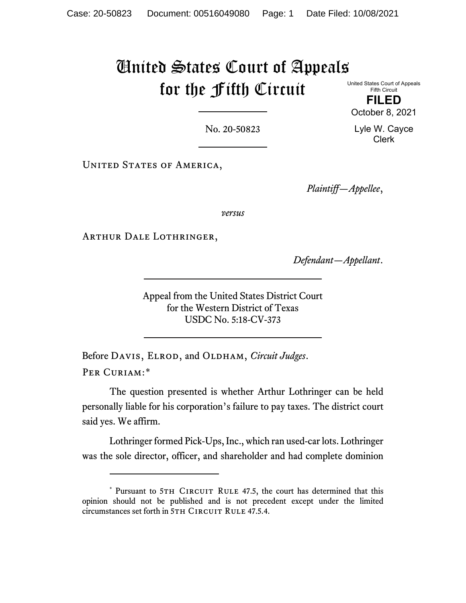## United States Court of Appeals for the Fifth Circuit

United States Court of Appeals Fifth Circuit

**FILED** October 8, 2021

Lyle W. Cayce Clerk

No. 20-50823

UNITED STATES OF AMERICA,

*Plaintiff—Appellee*,

*versus*

Arthur Dale Lothringer,

*Defendant—Appellant*.

Appeal from the United States District Court for the Western District of Texas USDC No. 5:18-CV-373

Before DAVIS, ELROD, and OLDHAM, *Circuit Judges*. PER CURIAM:[\\*](#page-0-0)

The question presented is whether Arthur Lothringer can be held personally liable for his corporation's failure to pay taxes. The district court said yes. We affirm.

Lothringer formed Pick-Ups, Inc., which ran used-car lots. Lothringer was the sole director, officer, and shareholder and had complete dominion

<span id="page-0-0"></span><sup>\*</sup> Pursuant to 5TH CIRCUIT RULE 47.5, the court has determined that this opinion should not be published and is not precedent except under the limited circumstances set forth in 5TH CIRCUIT RULE 47.5.4.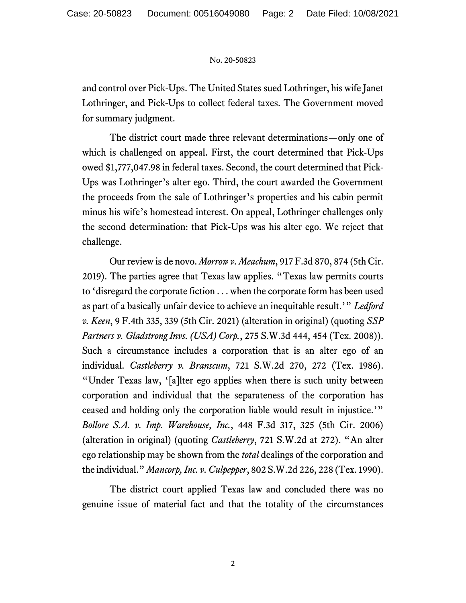## No. 20-50823

and control over Pick-Ups. The United States sued Lothringer, his wife Janet Lothringer, and Pick-Ups to collect federal taxes. The Government moved for summary judgment.

The district court made three relevant determinations—only one of which is challenged on appeal. First, the court determined that Pick-Ups owed \$1,777,047.98 in federal taxes. Second, the court determined that Pick-Ups was Lothringer's alter ego. Third, the court awarded the Government the proceeds from the sale of Lothringer's properties and his cabin permit minus his wife's homestead interest. On appeal, Lothringer challenges only the second determination: that Pick-Ups was his alter ego. We reject that challenge.

Our review is de novo. *Morrow v. Meachum*, 917 F.3d 870, 874 (5th Cir. 2019). The parties agree that Texas law applies. "Texas law permits courts to 'disregard the corporate fiction . . . when the corporate form has been used as part of a basically unfair device to achieve an inequitable result.'" *Ledford v. Keen*, 9 F.4th 335, 339 (5th Cir. 2021) (alteration in original) (quoting *SSP Partners v. Gladstrong Invs. (USA) Corp.*, 275 S.W.3d 444, 454 (Tex. 2008)). Such a circumstance includes a corporation that is an alter ego of an individual. *Castleberry v. Branscum*, 721 S.W.2d 270, 272 (Tex. 1986). "Under Texas law, '[a]lter ego applies when there is such unity between corporation and individual that the separateness of the corporation has ceased and holding only the corporation liable would result in injustice.'" *Bollore S.A. v. Imp. Warehouse, Inc.*, 448 F.3d 317, 325 (5th Cir. 2006) (alteration in original) (quoting *Castleberry*, 721 S.W.2d at 272). "An alter ego relationship may be shown from the *total* dealings of the corporation and the individual." *Mancorp, Inc. v. Culpepper*, 802 S.W.2d 226, 228 (Tex. 1990).

The district court applied Texas law and concluded there was no genuine issue of material fact and that the totality of the circumstances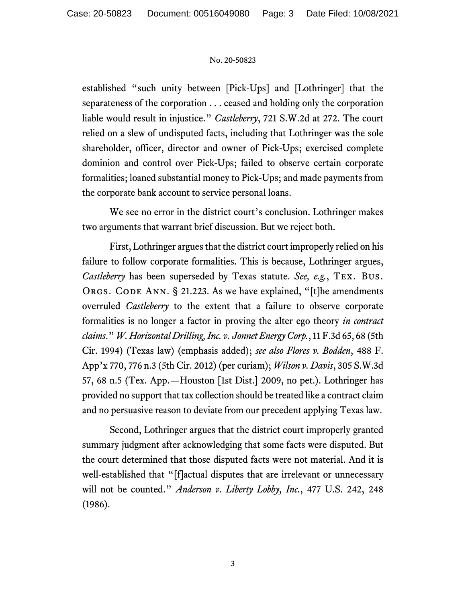## No. 20-50823

established "such unity between [Pick-Ups] and [Lothringer] that the separateness of the corporation . . . ceased and holding only the corporation liable would result in injustice." *Castleberry*, 721 S.W.2d at 272. The court relied on a slew of undisputed facts, including that Lothringer was the sole shareholder, officer, director and owner of Pick-Ups; exercised complete dominion and control over Pick-Ups; failed to observe certain corporate formalities; loaned substantial money to Pick-Ups; and made payments from the corporate bank account to service personal loans.

We see no error in the district court's conclusion. Lothringer makes two arguments that warrant brief discussion. But we reject both.

First, Lothringer argues that the district court improperly relied on his failure to follow corporate formalities. This is because, Lothringer argues, *Castleberry* has been superseded by Texas statute. *See, e.g.*, Tex. Bus. ORGS. CODE ANN. § 21.223. As we have explained, "[t]he amendments overruled *Castleberry* to the extent that a failure to observe corporate formalities is no longer a factor in proving the alter ego theory *in contract claims*." *W. Horizontal Drilling, Inc. v. Jonnet Energy Corp.*, 11 F.3d 65, 68 (5th Cir. 1994) (Texas law) (emphasis added); *see also Flores v. Bodden*, 488 F. App'x 770, 776 n.3 (5th Cir. 2012) (per curiam); *Wilson v. Davis*, 305 S.W.3d 57, 68 n.5 (Tex. App.—Houston [1st Dist.] 2009, no pet.). Lothringer has provided no support that tax collection should be treated like a contract claim and no persuasive reason to deviate from our precedent applying Texas law.

Second, Lothringer argues that the district court improperly granted summary judgment after acknowledging that some facts were disputed. But the court determined that those disputed facts were not material. And it is well-established that "[f]actual disputes that are irrelevant or unnecessary will not be counted." *Anderson v. Liberty Lobby, Inc.*, 477 U.S. 242, 248 (1986).